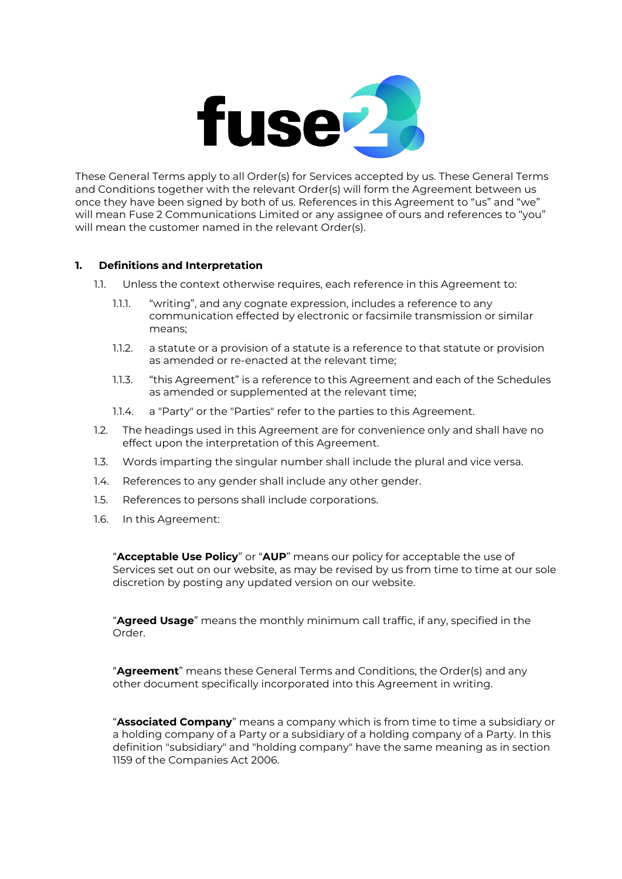

These General Terms apply to all Order(s) for Services accepted by us. These General Terms and Conditions together with the relevant Order(s) will form the Agreement between us once they have been signed by both of us. References in this Agreement to "us" and "we" will mean Fuse 2 Communications Limited or any assignee of ours and references to "you" will mean the customer named in the relevant Order(s).

# **1. Definitions and Interpretation**

- 1.1. Unless the context otherwise requires, each reference in this Agreement to:
	- 1.1.1. "writing", and any cognate expression, includes a reference to any communication effected by electronic or facsimile transmission or similar means;
	- 1.1.2. a statute or a provision of a statute is a reference to that statute or provision as amended or re-enacted at the relevant time;
	- 1.1.3. "this Agreement" is a reference to this Agreement and each of the Schedules as amended or supplemented at the relevant time;
	- 1.1.4. a "Party" or the "Parties" refer to the parties to this Agreement.
- 1.2. The headings used in this Agreement are for convenience only and shall have no effect upon the interpretation of this Agreement.
- 1.3. Words imparting the singular number shall include the plural and vice versa.
- 1.4. References to any gender shall include any other gender.
- 1.5. References to persons shall include corporations.
- 1.6. In this Agreement:

"**Acceptable Use Policy**" or "**AUP**" means our policy for acceptable the use of Services set out on our website, as may be revised by us from time to time at our sole discretion by posting any updated version on our website.

"**Agreed Usage**" means the monthly minimum call traffic, if any, specified in the Order.

"**Agreement**" means these General Terms and Conditions, the Order(s) and any other document specifically incorporated into this Agreement in writing.

"**Associated Company**" means a company which is from time to time a subsidiary or a holding company of a Party or a subsidiary of a holding company of a Party. In this definition "subsidiary" and "holding company" have the same meaning as in section 1159 of the Companies Act 2006.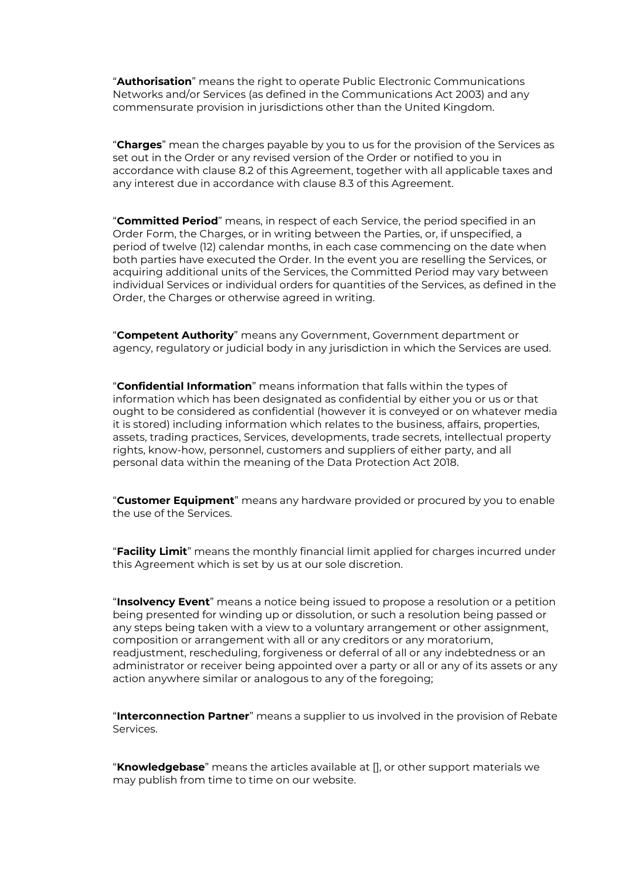"**Authorisation**" means the right to operate Public Electronic Communications Networks and/or Services (as defined in the Communications Act 2003) and any commensurate provision in jurisdictions other than the United Kingdom.

"**Charges**" mean the charges payable by you to us for the provision of the Services as set out in the Order or any revised version of the Order or notified to you in accordance with clause [8.2](#page-6-0) of this Agreement, together with all applicable taxes and any interest due in accordance with clause [8.3](#page-6-1) of this Agreement.

"**Committed Period**" means, in respect of each Service, the period specified in an Order Form, the Charges, or in writing between the Parties, or, if unspecified, a period of twelve (12) calendar months, in each case commencing on the date when both parties have executed the Order. In the event you are reselling the Services, or acquiring additional units of the Services, the Committed Period may vary between individual Services or individual orders for quantities of the Services, as defined in the Order, the Charges or otherwise agreed in writing.

"**Competent Authority**" means any Government, Government department or agency, regulatory or judicial body in any jurisdiction in which the Services are used.

"**Confidential Information**" means information that falls within the types of information which has been designated as confidential by either you or us or that ought to be considered as confidential (however it is conveyed or on whatever media it is stored) including information which relates to the business, affairs, properties, assets, trading practices, Services, developments, trade secrets, intellectual property rights, know-how, personnel, customers and suppliers of either party, and all personal data within the meaning of the Data Protection Act 2018.

"**Customer Equipment**" means any hardware provided or procured by you to enable the use of the Services.

"**Facility Limit**" means the monthly financial limit applied for charges incurred under this Agreement which is set by us at our sole discretion.

"**Insolvency Event**" means a notice being issued to propose a resolution or a petition being presented for winding up or dissolution, or such a resolution being passed or any steps being taken with a view to a voluntary arrangement or other assignment, composition or arrangement with all or any creditors or any moratorium, readjustment, rescheduling, forgiveness or deferral of all or any indebtedness or an administrator or receiver being appointed over a party or all or any of its assets or any action anywhere similar or analogous to any of the foregoing;

"**Interconnection Partner**" means a supplier to us involved in the provision of Rebate Services.

"**Knowledgebase**" means the articles available at [], or other support materials we may publish from time to time on our website.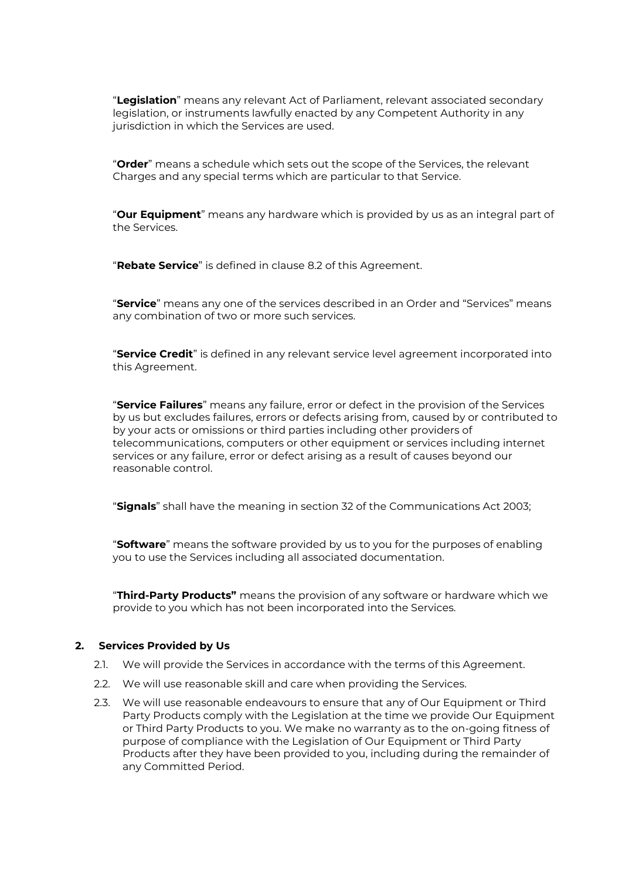"**Legislation**" means any relevant Act of Parliament, relevant associated secondary legislation, or instruments lawfully enacted by any Competent Authority in any jurisdiction in which the Services are used.

"**Order**" means a schedule which sets out the scope of the Services, the relevant Charges and any special terms which are particular to that Service.

"**Our Equipment**" means any hardware which is provided by us as an integral part of the Services.

"**Rebate Service**" is defined in clause [8.2](#page-6-0) of this Agreement.

"**Service**" means any one of the services described in an Order and "Services" means any combination of two or more such services.

"**Service Credit**" is defined in any relevant service level agreement incorporated into this Agreement.

"**Service Failures**" means any failure, error or defect in the provision of the Services by us but excludes failures, errors or defects arising from, caused by or contributed to by your acts or omissions or third parties including other providers of telecommunications, computers or other equipment or services including internet services or any failure, error or defect arising as a result of causes beyond our reasonable control.

"**Signals**" shall have the meaning in section 32 of the Communications Act 2003;

"**Software**" means the software provided by us to you for the purposes of enabling you to use the Services including all associated documentation.

"**Third-Party Products"** means the provision of any software or hardware which we provide to you which has not been incorporated into the Services.

#### **2. Services Provided by Us**

- 2.1. We will provide the Services in accordance with the terms of this Agreement.
- 2.2. We will use reasonable skill and care when providing the Services.
- 2.3. We will use reasonable endeavours to ensure that any of Our Equipment or Third Party Products comply with the Legislation at the time we provide Our Equipment or Third Party Products to you. We make no warranty as to the on-going fitness of purpose of compliance with the Legislation of Our Equipment or Third Party Products after they have been provided to you, including during the remainder of any Committed Period.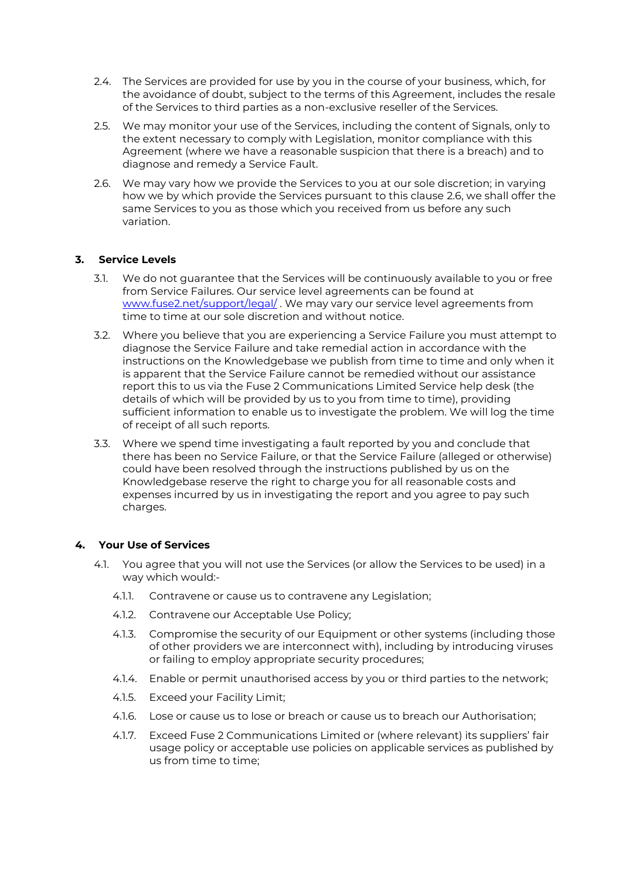- 2.4. The Services are provided for use by you in the course of your business, which, for the avoidance of doubt, subject to the terms of this Agreement, includes the resale of the Services to third parties as a non-exclusive reseller of the Services.
- 2.5. We may monitor your use of the Services, including the content of Signals, only to the extent necessary to comply with Legislation, monitor compliance with this Agreement (where we have a reasonable suspicion that there is a breach) and to diagnose and remedy a Service Fault.
- <span id="page-3-0"></span>2.6. We may vary how we provide the Services to you at our sole discretion; in varying how we by which provide the Services pursuant to this clause [2.6,](#page-3-0) we shall offer the same Services to you as those which you received from us before any such variation.

# **3. Service Levels**

- 3.1. We do not guarantee that the Services will be continuously available to you or free from Service Failures. Our service level agreements can be found at [www.fuse2.net/support/legal/](http://www.fuse2.net/support/legal/) . We may vary our service level agreements from time to time at our sole discretion and without notice.
- 3.2. Where you believe that you are experiencing a Service Failure you must attempt to diagnose the Service Failure and take remedial action in accordance with the instructions on the Knowledgebase we publish from time to time and only when it is apparent that the Service Failure cannot be remedied without our assistance report this to us via the Fuse 2 Communications Limited Service help desk (the details of which will be provided by us to you from time to time), providing sufficient information to enable us to investigate the problem. We will log the time of receipt of all such reports.
- 3.3. Where we spend time investigating a fault reported by you and conclude that there has been no Service Failure, or that the Service Failure (alleged or otherwise) could have been resolved through the instructions published by us on the Knowledgebase reserve the right to charge you for all reasonable costs and expenses incurred by us in investigating the report and you agree to pay such charges.

#### <span id="page-3-2"></span><span id="page-3-1"></span>**4. Your Use of Services**

- 4.1. You agree that you will not use the Services (or allow the Services to be used) in a way which would:-
	- 4.1.1. Contravene or cause us to contravene any Legislation;
	- 4.1.2. Contravene our Acceptable Use Policy;
	- 4.1.3. Compromise the security of our Equipment or other systems (including those of other providers we are interconnect with), including by introducing viruses or failing to employ appropriate security procedures;
	- 4.1.4. Enable or permit unauthorised access by you or third parties to the network;
	- 4.1.5. Exceed your Facility Limit;
	- 4.1.6. Lose or cause us to lose or breach or cause us to breach our Authorisation;
	- 4.1.7. Exceed Fuse 2 Communications Limited or (where relevant) its suppliers' fair usage policy or acceptable use policies on applicable services as published by us from time to time;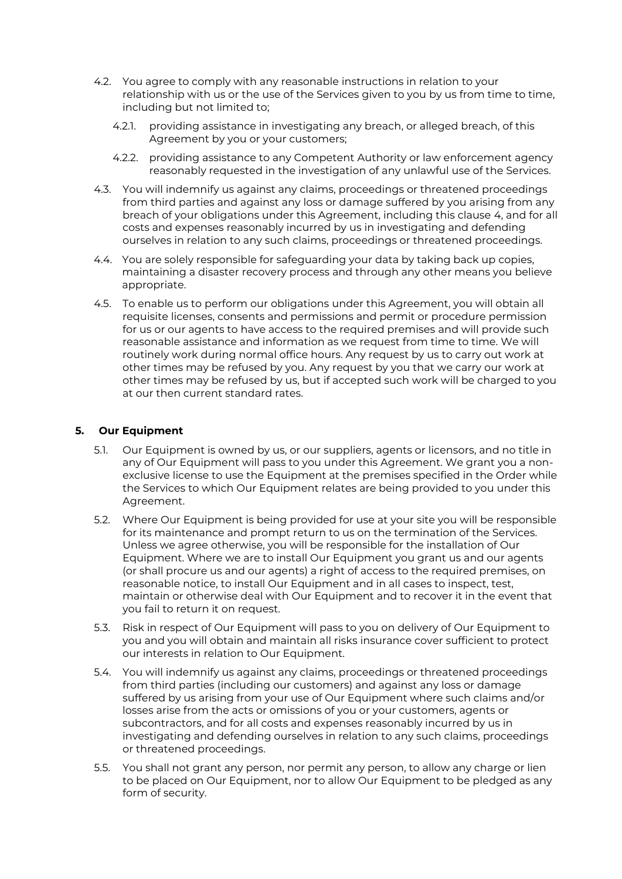- 4.2. You agree to comply with any reasonable instructions in relation to your relationship with us or the use of the Services given to you by us from time to time, including but not limited to;
	- 4.2.1. providing assistance in investigating any breach, or alleged breach, of this Agreement by you or your customers;
	- 4.2.2. providing assistance to any Competent Authority or law enforcement agency reasonably requested in the investigation of any unlawful use of the Services.
- 4.3. You will indemnify us against any claims, proceedings or threatened proceedings from third parties and against any loss or damage suffered by you arising from any breach of your obligations under this Agreement, including this clause [4,](#page-3-1) and for all costs and expenses reasonably incurred by us in investigating and defending ourselves in relation to any such claims, proceedings or threatened proceedings.
- 4.4. You are solely responsible for safeguarding your data by taking back up copies, maintaining a disaster recovery process and through any other means you believe appropriate.
- 4.5. To enable us to perform our obligations under this Agreement, you will obtain all requisite licenses, consents and permissions and permit or procedure permission for us or our agents to have access to the required premises and will provide such reasonable assistance and information as we request from time to time. We will routinely work during normal office hours. Any request by us to carry out work at other times may be refused by you. Any request by you that we carry our work at other times may be refused by us, but if accepted such work will be charged to you at our then current standard rates.

# **5. Our Equipment**

- 5.1. Our Equipment is owned by us, or our suppliers, agents or licensors, and no title in any of Our Equipment will pass to you under this Agreement. We grant you a nonexclusive license to use the Equipment at the premises specified in the Order while the Services to which Our Equipment relates are being provided to you under this Agreement.
- 5.2. Where Our Equipment is being provided for use at your site you will be responsible for its maintenance and prompt return to us on the termination of the Services. Unless we agree otherwise, you will be responsible for the installation of Our Equipment. Where we are to install Our Equipment you grant us and our agents (or shall procure us and our agents) a right of access to the required premises, on reasonable notice, to install Our Equipment and in all cases to inspect, test, maintain or otherwise deal with Our Equipment and to recover it in the event that you fail to return it on request.
- 5.3. Risk in respect of Our Equipment will pass to you on delivery of Our Equipment to you and you will obtain and maintain all risks insurance cover sufficient to protect our interests in relation to Our Equipment.
- 5.4. You will indemnify us against any claims, proceedings or threatened proceedings from third parties (including our customers) and against any loss or damage suffered by us arising from your use of Our Equipment where such claims and/or losses arise from the acts or omissions of you or your customers, agents or subcontractors, and for all costs and expenses reasonably incurred by us in investigating and defending ourselves in relation to any such claims, proceedings or threatened proceedings.
- 5.5. You shall not grant any person, nor permit any person, to allow any charge or lien to be placed on Our Equipment, nor to allow Our Equipment to be pledged as any form of security.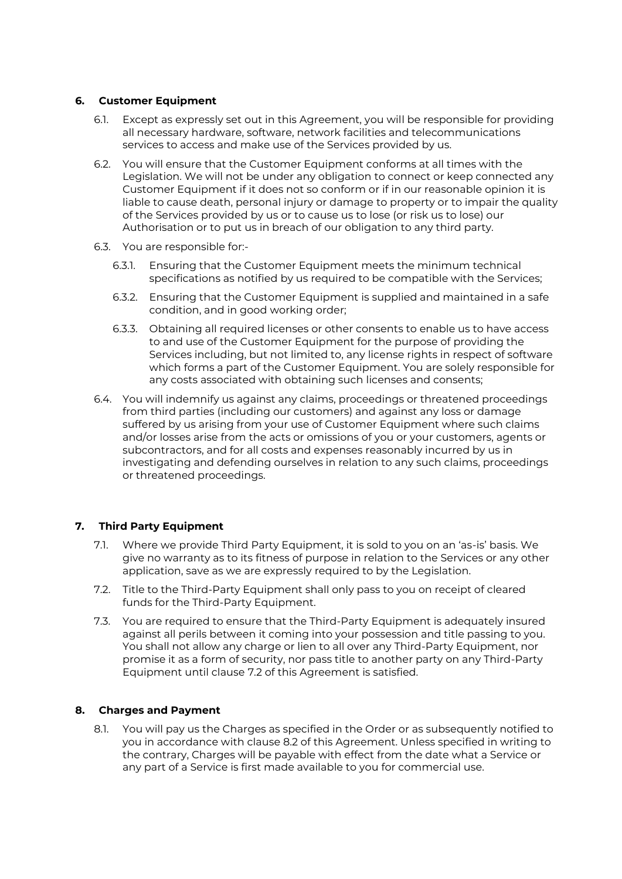## **6. Customer Equipment**

- 6.1. Except as expressly set out in this Agreement, you will be responsible for providing all necessary hardware, software, network facilities and telecommunications services to access and make use of the Services provided by us.
- 6.2. You will ensure that the Customer Equipment conforms at all times with the Legislation. We will not be under any obligation to connect or keep connected any Customer Equipment if it does not so conform or if in our reasonable opinion it is liable to cause death, personal injury or damage to property or to impair the quality of the Services provided by us or to cause us to lose (or risk us to lose) our Authorisation or to put us in breach of our obligation to any third party.
- 6.3. You are responsible for:-
	- 6.3.1. Ensuring that the Customer Equipment meets the minimum technical specifications as notified by us required to be compatible with the Services;
	- 6.3.2. Ensuring that the Customer Equipment is supplied and maintained in a safe condition, and in good working order;
	- 6.3.3. Obtaining all required licenses or other consents to enable us to have access to and use of the Customer Equipment for the purpose of providing the Services including, but not limited to, any license rights in respect of software which forms a part of the Customer Equipment. You are solely responsible for any costs associated with obtaining such licenses and consents;
- 6.4. You will indemnify us against any claims, proceedings or threatened proceedings from third parties (including our customers) and against any loss or damage suffered by us arising from your use of Customer Equipment where such claims and/or losses arise from the acts or omissions of you or your customers, agents or subcontractors, and for all costs and expenses reasonably incurred by us in investigating and defending ourselves in relation to any such claims, proceedings or threatened proceedings.

# **7. Third Party Equipment**

- 7.1. Where we provide Third Party Equipment, it is sold to you on an 'as-is' basis. We give no warranty as to its fitness of purpose in relation to the Services or any other application, save as we are expressly required to by the Legislation.
- <span id="page-5-0"></span>7.2. Title to the Third-Party Equipment shall only pass to you on receipt of cleared funds for the Third-Party Equipment.
- 7.3. You are required to ensure that the Third-Party Equipment is adequately insured against all perils between it coming into your possession and title passing to you. You shall not allow any charge or lien to all over any Third-Party Equipment, nor promise it as a form of security, nor pass title to another party on any Third-Party Equipment until clause [7.2](#page-5-0) of this Agreement is satisfied.

#### **8. Charges and Payment**

8.1. You will pay us the Charges as specified in the Order or as subsequently notified to you in accordance with clause [8.2](#page-6-0) of this Agreement. Unless specified in writing to the contrary, Charges will be payable with effect from the date what a Service or any part of a Service is first made available to you for commercial use.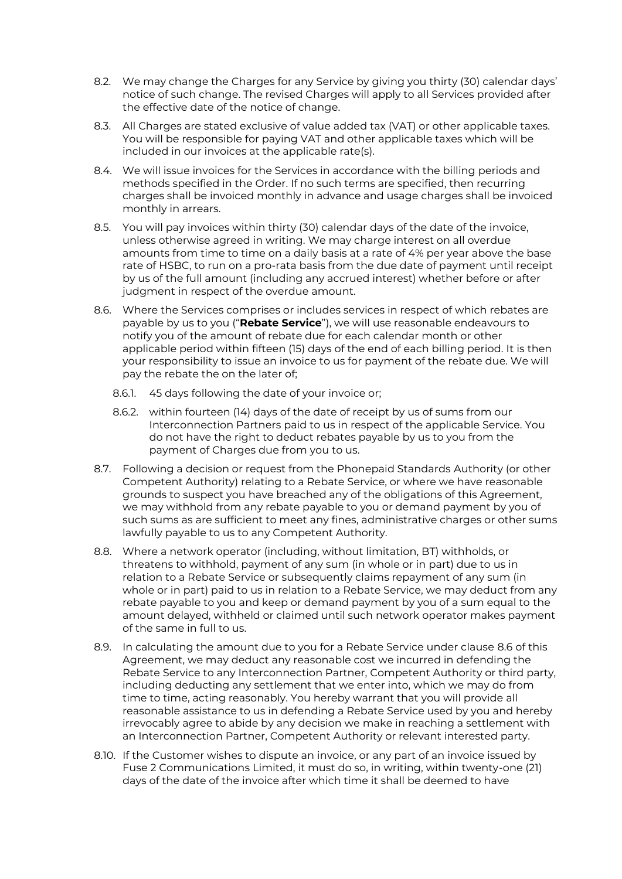- <span id="page-6-0"></span>8.2. We may change the Charges for any Service by giving you thirty (30) calendar days' notice of such change. The revised Charges will apply to all Services provided after the effective date of the notice of change.
- <span id="page-6-1"></span>8.3. All Charges are stated exclusive of value added tax (VAT) or other applicable taxes. You will be responsible for paying VAT and other applicable taxes which will be included in our invoices at the applicable rate(s).
- 8.4. We will issue invoices for the Services in accordance with the billing periods and methods specified in the Order. If no such terms are specified, then recurring charges shall be invoiced monthly in advance and usage charges shall be invoiced monthly in arrears.
- 8.5. You will pay invoices within thirty (30) calendar days of the date of the invoice, unless otherwise agreed in writing. We may charge interest on all overdue amounts from time to time on a daily basis at a rate of 4% per year above the base rate of HSBC, to run on a pro-rata basis from the due date of payment until receipt by us of the full amount (including any accrued interest) whether before or after judgment in respect of the overdue amount.
- <span id="page-6-2"></span>8.6. Where the Services comprises or includes services in respect of which rebates are payable by us to you ("**Rebate Service**"), we will use reasonable endeavours to notify you of the amount of rebate due for each calendar month or other applicable period within fifteen (15) days of the end of each billing period. It is then your responsibility to issue an invoice to us for payment of the rebate due. We will pay the rebate the on the later of;
	- 8.6.1. 45 days following the date of your invoice or;
	- 8.6.2. within fourteen (14) days of the date of receipt by us of sums from our Interconnection Partners paid to us in respect of the applicable Service. You do not have the right to deduct rebates payable by us to you from the payment of Charges due from you to us.
- 8.7. Following a decision or request from the Phonepaid Standards Authority (or other Competent Authority) relating to a Rebate Service, or where we have reasonable grounds to suspect you have breached any of the obligations of this Agreement, we may withhold from any rebate payable to you or demand payment by you of such sums as are sufficient to meet any fines, administrative charges or other sums lawfully payable to us to any Competent Authority.
- 8.8. Where a network operator (including, without limitation, BT) withholds, or threatens to withhold, payment of any sum (in whole or in part) due to us in relation to a Rebate Service or subsequently claims repayment of any sum (in whole or in part) paid to us in relation to a Rebate Service, we may deduct from any rebate payable to you and keep or demand payment by you of a sum equal to the amount delayed, withheld or claimed until such network operator makes payment of the same in full to us.
- 8.9. In calculating the amount due to you for a Rebate Service under clause [8.6](#page-6-2) of this Agreement, we may deduct any reasonable cost we incurred in defending the Rebate Service to any Interconnection Partner, Competent Authority or third party, including deducting any settlement that we enter into, which we may do from time to time, acting reasonably. You hereby warrant that you will provide all reasonable assistance to us in defending a Rebate Service used by you and hereby irrevocably agree to abide by any decision we make in reaching a settlement with an Interconnection Partner, Competent Authority or relevant interested party.
- <span id="page-6-3"></span>8.10. If the Customer wishes to dispute an invoice, or any part of an invoice issued by Fuse 2 Communications Limited, it must do so, in writing, within twenty-one (21) days of the date of the invoice after which time it shall be deemed to have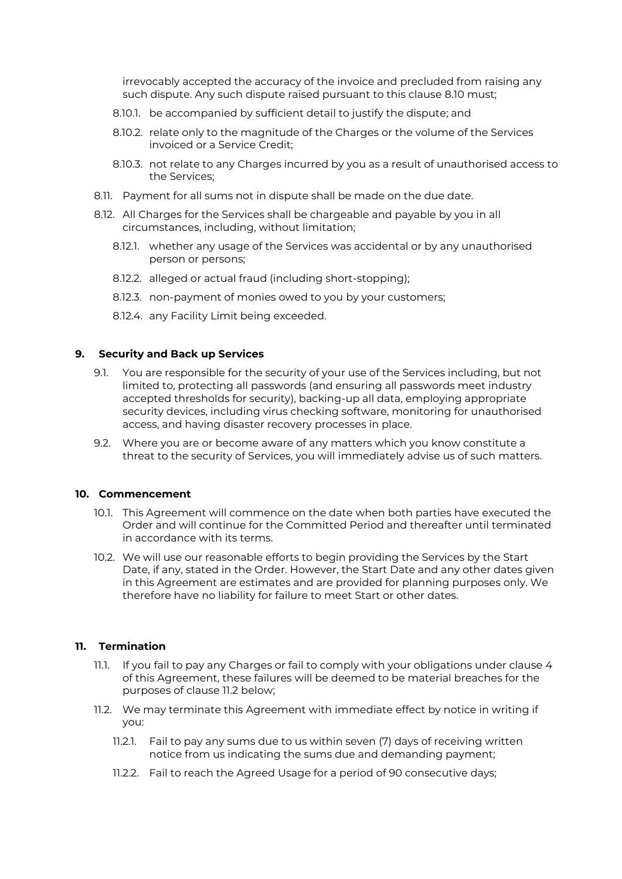irrevocably accepted the accuracy of the invoice and precluded from raising any such dispute. Any such dispute raised pursuant to this clause [8.10](#page-6-3) must;

- 8.10.1. be accompanied by sufficient detail to justify the dispute; and
- 8.10.2. relate only to the magnitude of the Charges or the volume of the Services invoiced or a Service Credit;
- 8.10.3. not relate to any Charges incurred by you as a result of unauthorised access to the Services;
- 8.11. Payment for all sums not in dispute shall be made on the due date.
- 8.12. All Charges for the Services shall be chargeable and payable by you in all circumstances, including, without limitation;
	- 8.12.1. whether any usage of the Services was accidental or by any unauthorised person or persons;
	- 8.12.2. alleged or actual fraud (including short-stopping);
	- 8.12.3. non-payment of monies owed to you by your customers;
	- 8.12.4. any Facility Limit being exceeded.

#### **9. Security and Back up Services**

- 9.1. You are responsible for the security of your use of the Services including, but not limited to, protecting all passwords (and ensuring all passwords meet industry accepted thresholds for security), backing-up all data, employing appropriate security devices, including virus checking software, monitoring for unauthorised access, and having disaster recovery processes in place.
- 9.2. Where you are or become aware of any matters which you know constitute a threat to the security of Services, you will immediately advise us of such matters.

#### **10. Commencement**

- 10.1. This Agreement will commence on the date when both parties have executed the Order and will continue for the Committed Period and thereafter until terminated in accordance with its terms.
- 10.2. We will use our reasonable efforts to begin providing the Services by the Start Date, if any, stated in the Order. However, the Start Date and any other dates given in this Agreement are estimates and are provided for planning purposes only. We therefore have no liability for failure to meet Start or other dates.

# <span id="page-7-1"></span>**11. Termination**

- 11.1. If you fail to pay any Charges or fail to comply with your obligations under clause [4](#page-3-1) of this Agreement, these failures will be deemed to be material breaches for the purposes of clause [11.2](#page-7-0) below;
- <span id="page-7-0"></span>11.2. We may terminate this Agreement with immediate effect by notice in writing if you:
	- 11.2.1. Fail to pay any sums due to us within seven (7) days of receiving written notice from us indicating the sums due and demanding payment;
	- 11.2.2. Fail to reach the Agreed Usage for a period of 90 consecutive days;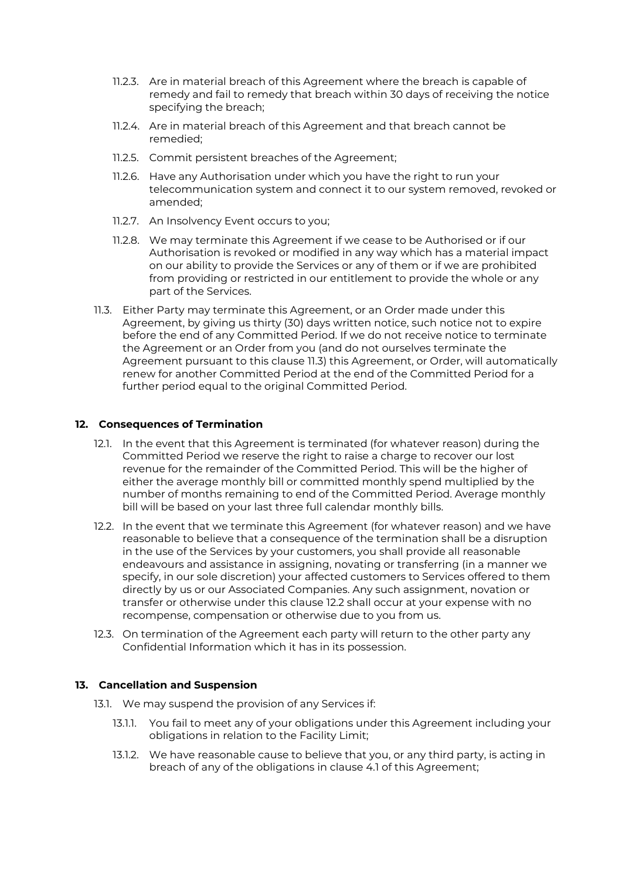- 11.2.3. Are in material breach of this Agreement where the breach is capable of remedy and fail to remedy that breach within 30 days of receiving the notice specifying the breach;
- 11.2.4. Are in material breach of this Agreement and that breach cannot be remedied;
- 11.2.5. Commit persistent breaches of the Agreement;
- 11.2.6. Have any Authorisation under which you have the right to run your telecommunication system and connect it to our system removed, revoked or amended;
- 11.2.7. An Insolvency Event occurs to you;
- 11.2.8. We may terminate this Agreement if we cease to be Authorised or if our Authorisation is revoked or modified in any way which has a material impact on our ability to provide the Services or any of them or if we are prohibited from providing or restricted in our entitlement to provide the whole or any part of the Services.
- <span id="page-8-0"></span>11.3. Either Party may terminate this Agreement, or an Order made under this Agreement, by giving us thirty (30) days written notice, such notice not to expire before the end of any Committed Period. If we do not receive notice to terminate the Agreement or an Order from you (and do not ourselves terminate the Agreement pursuant to this clause [11.3\)](#page-8-0) this Agreement, or Order, will automatically renew for another Committed Period at the end of the Committed Period for a further period equal to the original Committed Period.

#### **12. Consequences of Termination**

- 12.1. In the event that this Agreement is terminated (for whatever reason) during the Committed Period we reserve the right to raise a charge to recover our lost revenue for the remainder of the Committed Period. This will be the higher of either the average monthly bill or committed monthly spend multiplied by the number of months remaining to end of the Committed Period. Average monthly bill will be based on your last three full calendar monthly bills.
- <span id="page-8-1"></span>12.2. In the event that we terminate this Agreement (for whatever reason) and we have reasonable to believe that a consequence of the termination shall be a disruption in the use of the Services by your customers, you shall provide all reasonable endeavours and assistance in assigning, novating or transferring (in a manner we specify, in our sole discretion) your affected customers to Services offered to them directly by us or our Associated Companies. Any such assignment, novation or transfer or otherwise under this clause [12.2](#page-8-1) shall occur at your expense with no recompense, compensation or otherwise due to you from us.
- 12.3. On termination of the Agreement each party will return to the other party any Confidential Information which it has in its possession.

#### **13. Cancellation and Suspension**

- <span id="page-8-2"></span>13.1. We may suspend the provision of any Services if:
	- 13.1.1. You fail to meet any of your obligations under this Agreement including your obligations in relation to the Facility Limit;
	- 13.1.2. We have reasonable cause to believe that you, or any third party, is acting in breach of any of the obligations in clause [4.1](#page-3-2) of this Agreement;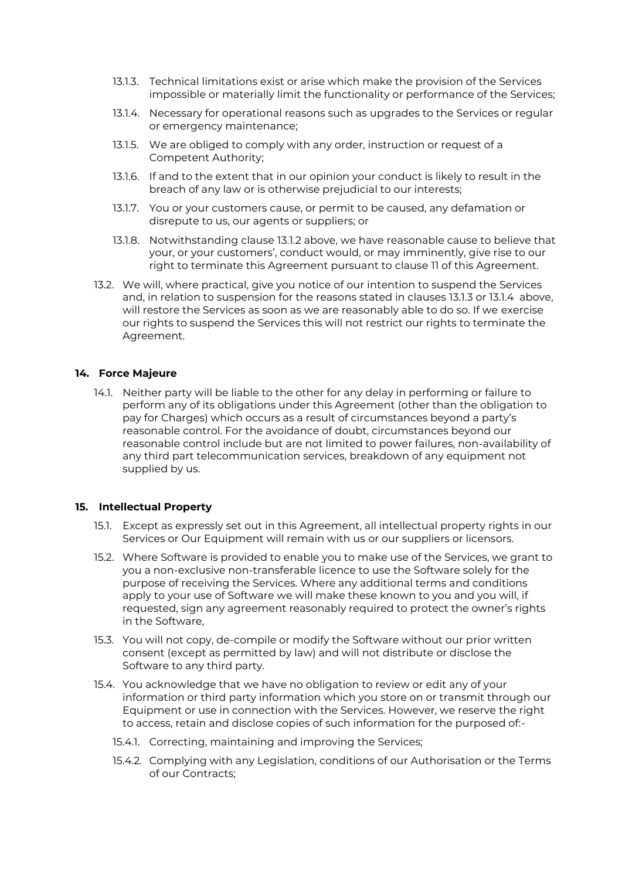- <span id="page-9-0"></span>13.1.3. Technical limitations exist or arise which make the provision of the Services impossible or materially limit the functionality or performance of the Services;
- <span id="page-9-1"></span>13.1.4. Necessary for operational reasons such as upgrades to the Services or regular or emergency maintenance;
- 13.1.5. We are obliged to comply with any order, instruction or request of a Competent Authority;
- 13.1.6. If and to the extent that in our opinion your conduct is likely to result in the breach of any law or is otherwise prejudicial to our interests;
- 13.1.7. You or your customers cause, or permit to be caused, any defamation or disrepute to us, our agents or suppliers; or
- 13.1.8. Notwithstanding clause [13.1.2](#page-8-2) above, we have reasonable cause to believe that your, or your customers', conduct would, or may imminently, give rise to our right to terminate this Agreement pursuant to clause [11](#page-7-1) of this Agreement.
- 13.2. We will, where practical, give you notice of our intention to suspend the Services and, in relation to suspension for the reasons stated in clauses [13.1.3](#page-9-0) or [13.1.4](#page-9-1) above, will restore the Services as soon as we are reasonably able to do so. If we exercise our rights to suspend the Services this will not restrict our rights to terminate the Agreement.

#### **14. Force Majeure**

14.1. Neither party will be liable to the other for any delay in performing or failure to perform any of its obligations under this Agreement (other than the obligation to pay for Charges) which occurs as a result of circumstances beyond a party's reasonable control. For the avoidance of doubt, circumstances beyond our reasonable control include but are not limited to power failures, non-availability of any third part telecommunication services, breakdown of any equipment not supplied by us.

#### **15. Intellectual Property**

- 15.1. Except as expressly set out in this Agreement, all intellectual property rights in our Services or Our Equipment will remain with us or our suppliers or licensors.
- 15.2. Where Software is provided to enable you to make use of the Services, we grant to you a non-exclusive non-transferable licence to use the Software solely for the purpose of receiving the Services. Where any additional terms and conditions apply to your use of Software we will make these known to you and you will, if requested, sign any agreement reasonably required to protect the owner's rights in the Software,
- 15.3. You will not copy, de-compile or modify the Software without our prior written consent (except as permitted by law) and will not distribute or disclose the Software to any third party.
- 15.4. You acknowledge that we have no obligation to review or edit any of your information or third party information which you store on or transmit through our Equipment or use in connection with the Services. However, we reserve the right to access, retain and disclose copies of such information for the purposed of:-
	- 15.4.1. Correcting, maintaining and improving the Services;
	- 15.4.2. Complying with any Legislation, conditions of our Authorisation or the Terms of our Contracts;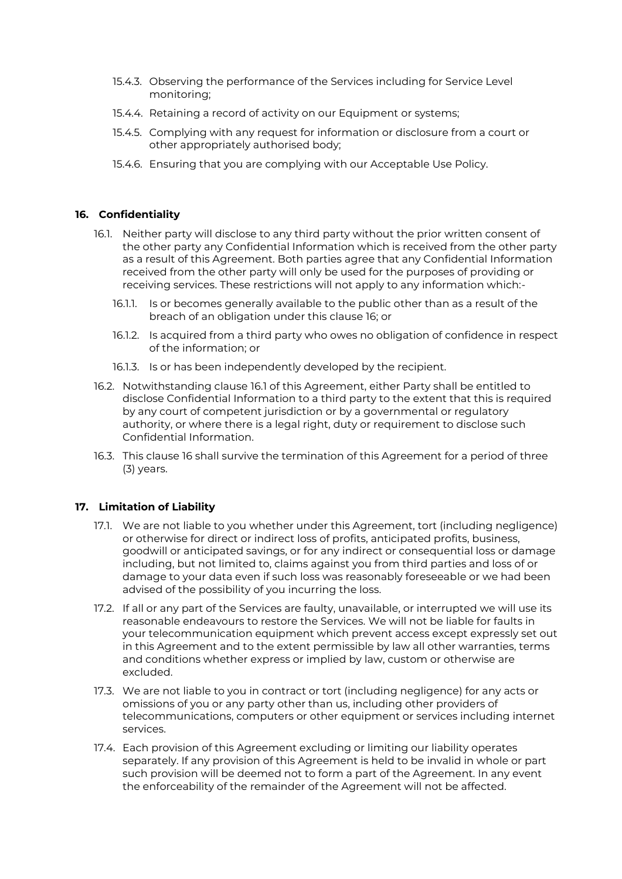- 15.4.3. Observing the performance of the Services including for Service Level monitoring;
- 15.4.4. Retaining a record of activity on our Equipment or systems;
- 15.4.5. Complying with any request for information or disclosure from a court or other appropriately authorised body;
- 15.4.6. Ensuring that you are complying with our Acceptable Use Policy.

# <span id="page-10-1"></span><span id="page-10-0"></span>**16. Confidentiality**

- 16.1. Neither party will disclose to any third party without the prior written consent of the other party any Confidential Information which is received from the other party as a result of this Agreement. Both parties agree that any Confidential Information received from the other party will only be used for the purposes of providing or receiving services. These restrictions will not apply to any information which:-
	- 16.1.1. Is or becomes generally available to the public other than as a result of the breach of an obligation under this clause [16;](#page-10-0) or
	- 16.1.2. Is acquired from a third party who owes no obligation of confidence in respect of the information; or
	- 16.1.3. Is or has been independently developed by the recipient.
- 16.2. Notwithstanding clause [16.1](#page-10-1) of this Agreement, either Party shall be entitled to disclose Confidential Information to a third party to the extent that this is required by any court of competent jurisdiction or by a governmental or regulatory authority, or where there is a legal right, duty or requirement to disclose such Confidential Information.
- 16.3. This clause [16](#page-10-0) shall survive the termination of this Agreement for a period of three (3) years.

# **17. Limitation of Liability**

- 17.1. We are not liable to you whether under this Agreement, tort (including negligence) or otherwise for direct or indirect loss of profits, anticipated profits, business, goodwill or anticipated savings, or for any indirect or consequential loss or damage including, but not limited to, claims against you from third parties and loss of or damage to your data even if such loss was reasonably foreseeable or we had been advised of the possibility of you incurring the loss.
- 17.2. If all or any part of the Services are faulty, unavailable, or interrupted we will use its reasonable endeavours to restore the Services. We will not be liable for faults in your telecommunication equipment which prevent access except expressly set out in this Agreement and to the extent permissible by law all other warranties, terms and conditions whether express or implied by law, custom or otherwise are excluded.
- 17.3. We are not liable to you in contract or tort (including negligence) for any acts or omissions of you or any party other than us, including other providers of telecommunications, computers or other equipment or services including internet services.
- 17.4. Each provision of this Agreement excluding or limiting our liability operates separately. If any provision of this Agreement is held to be invalid in whole or part such provision will be deemed not to form a part of the Agreement. In any event the enforceability of the remainder of the Agreement will not be affected.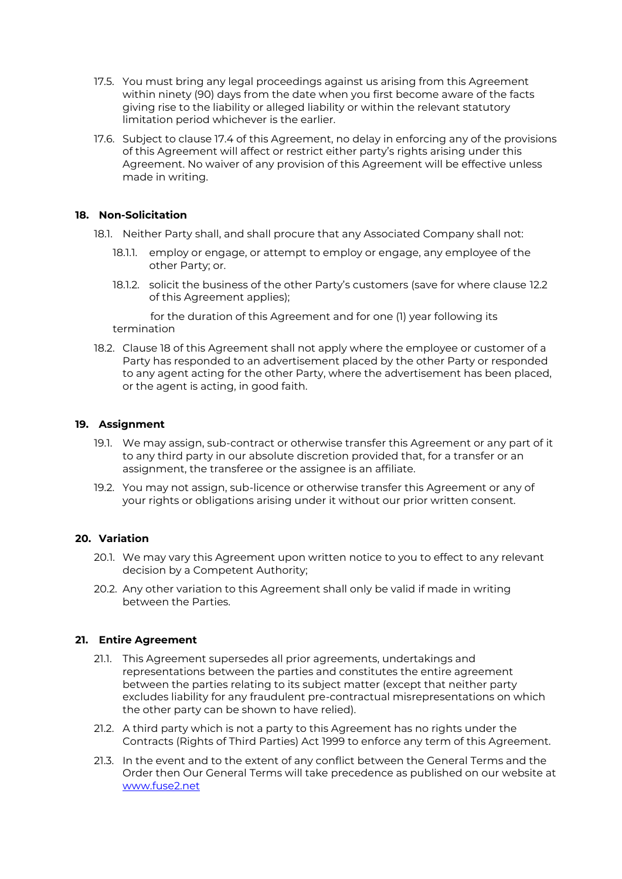- 17.5. You must bring any legal proceedings against us arising from this Agreement within ninety (90) days from the date when you first become aware of the facts giving rise to the liability or alleged liability or within the relevant statutory limitation period whichever is the earlier.
- 17.6. Subject to clause 17.4 of this Agreement, no delay in enforcing any of the provisions of this Agreement will affect or restrict either party's rights arising under this Agreement. No waiver of any provision of this Agreement will be effective unless made in writing.

### <span id="page-11-0"></span>**18. Non-Solicitation**

- 18.1. Neither Party shall, and shall procure that any Associated Company shall not:
	- 18.1.1. employ or engage, or attempt to employ or engage, any employee of the other Party; or.
	- 18.1.2. solicit the business of the other Party's customers (save for where clause [12.2](#page-8-1) of this Agreement applies);

for the duration of this Agreement and for one (1) year following its termination

18.2. Clause [18](#page-11-0) of this Agreement shall not apply where the employee or customer of a Party has responded to an advertisement placed by the other Party or responded to any agent acting for the other Party, where the advertisement has been placed, or the agent is acting, in good faith.

# **19. Assignment**

- 19.1. We may assign, sub-contract or otherwise transfer this Agreement or any part of it to any third party in our absolute discretion provided that, for a transfer or an assignment, the transferee or the assignee is an affiliate.
- 19.2. You may not assign, sub-licence or otherwise transfer this Agreement or any of your rights or obligations arising under it without our prior written consent.

# **20. Variation**

- 20.1. We may vary this Agreement upon written notice to you to effect to any relevant decision by a Competent Authority;
- 20.2. Any other variation to this Agreement shall only be valid if made in writing between the Parties.

#### **21. Entire Agreement**

- 21.1. This Agreement supersedes all prior agreements, undertakings and representations between the parties and constitutes the entire agreement between the parties relating to its subject matter (except that neither party excludes liability for any fraudulent pre-contractual misrepresentations on which the other party can be shown to have relied).
- 21.2. A third party which is not a party to this Agreement has no rights under the Contracts (Rights of Third Parties) Act 1999 to enforce any term of this Agreement.
- 21.3. In the event and to the extent of any conflict between the General Terms and the Order then Our General Terms will take precedence as published on our website at [www.fuse2.net](http://www.fuse2.net/)